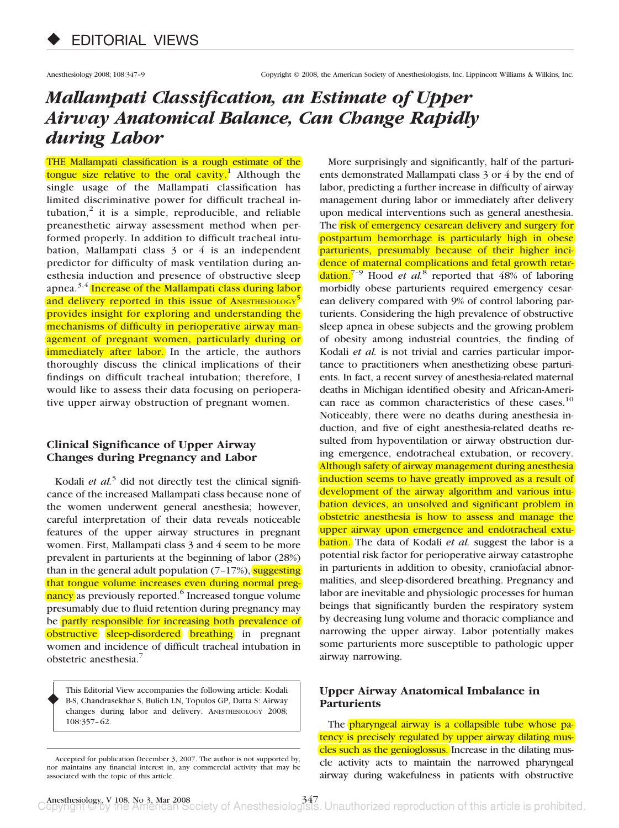Anesthesiology 2008; 108:347–9 Copyright © 2008, the American Society of Anesthesiologists, Inc. Lippincott Williams & Wilkins, Inc.

# *Mallampati Classification, an Estimate of Upper Airway Anatomical Balance, Can Change Rapidly during Labor*

THE Mallampati classification is a rough estimate of the tongue size relative to the oral cavity.<sup>1</sup> Although the single usage of the Mallampati classification has limited discriminative power for difficult tracheal intubation, $2$  it is a simple, reproducible, and reliable preanesthetic airway assessment method when performed properly. In addition to difficult tracheal intubation, Mallampati class 3 or 4 is an independent predictor for difficulty of mask ventilation during anesthesia induction and presence of obstructive sleep apnea.<sup>3,4</sup> Increase of the Mallampati class during labor and delivery reported in this issue of ANESTHESIOLOGY<sup>5</sup> provides insight for exploring and understanding the mechanisms of difficulty in perioperative airway management of pregnant women, particularly during or immediately after labor. In the article, the authors thoroughly discuss the clinical implications of their findings on difficult tracheal intubation; therefore, I would like to assess their data focusing on perioperative upper airway obstruction of pregnant women.

### **Clinical Significance of Upper Airway Changes during Pregnancy and Labor**

Kodali *et al.*<sup>5</sup> did not directly test the clinical significance of the increased Mallampati class because none of the women underwent general anesthesia; however, careful interpretation of their data reveals noticeable features of the upper airway structures in pregnant women. First, Mallampati class 3 and 4 seem to be more prevalent in parturients at the beginning of labor (28%) than in the general adult population  $(7-17%)$ , suggesting that tongue volume increases even during normal pregnancy as previously reported.<sup>6</sup> Increased tongue volume presumably due to fluid retention during pregnancy may be partly responsible for increasing both prevalence of obstructive sleep-disordered breathing in pregnant women and incidence of difficult tracheal intubation in obstetric anesthesia.7

This Editorial View accompanies the following article: Kodali B-S, Chandrasekhar S, Bulich LN, Topulos GP, Datta S: Airway changes during labor and delivery. ANESTHESIOLOGY 2008; 108:357–62.

♦

Accepted for publication December 3, 2007. The author is not supported by, nor maintains any financial interest in, any commercial activity that may be associated with the topic of this article.

More surprisingly and significantly, half of the parturients demonstrated Mallampati class 3 or 4 by the end of labor, predicting a further increase in difficulty of airway management during labor or immediately after delivery upon medical interventions such as general anesthesia. The risk of emergency cesarean delivery and surgery for postpartum hemorrhage is particularly high in obese parturients, presumably because of their higher incidence of maternal complications and fetal growth retardation.<sup>7–9</sup> Hood *et al.*<sup>8</sup> reported that 48% of laboring morbidly obese parturients required emergency cesarean delivery compared with 9% of control laboring parturients. Considering the high prevalence of obstructive sleep apnea in obese subjects and the growing problem of obesity among industrial countries, the finding of Kodali *et al.* is not trivial and carries particular importance to practitioners when anesthetizing obese parturients. In fact, a recent survey of anesthesia-related maternal deaths in Michigan identified obesity and African-American race as common characteristics of these cases.<sup>10</sup> Noticeably, there were no deaths during anesthesia induction, and five of eight anesthesia-related deaths resulted from hypoventilation or airway obstruction during emergence, endotracheal extubation, or recovery. Although safety of airway management during anesthesia induction seems to have greatly improved as a result of development of the airway algorithm and various intubation devices, an unsolved and significant problem in obstetric anesthesia is how to assess and manage the upper airway upon emergence and endotracheal extu**bation.** The data of Kodali *et al.* suggest the labor is a potential risk factor for perioperative airway catastrophe in parturients in addition to obesity, craniofacial abnormalities, and sleep-disordered breathing. Pregnancy and labor are inevitable and physiologic processes for human beings that significantly burden the respiratory system by decreasing lung volume and thoracic compliance and narrowing the upper airway. Labor potentially makes some parturients more susceptible to pathologic upper airway narrowing.

## **Upper Airway Anatomical Imbalance in Parturients**

The pharyngeal airway is a collapsible tube whose patency is precisely regulated by upper airway dilating muscles such as the genioglossus. Increase in the dilating muscle activity acts to maintain the narrowed pharyngeal airway during wakefulness in patients with obstructive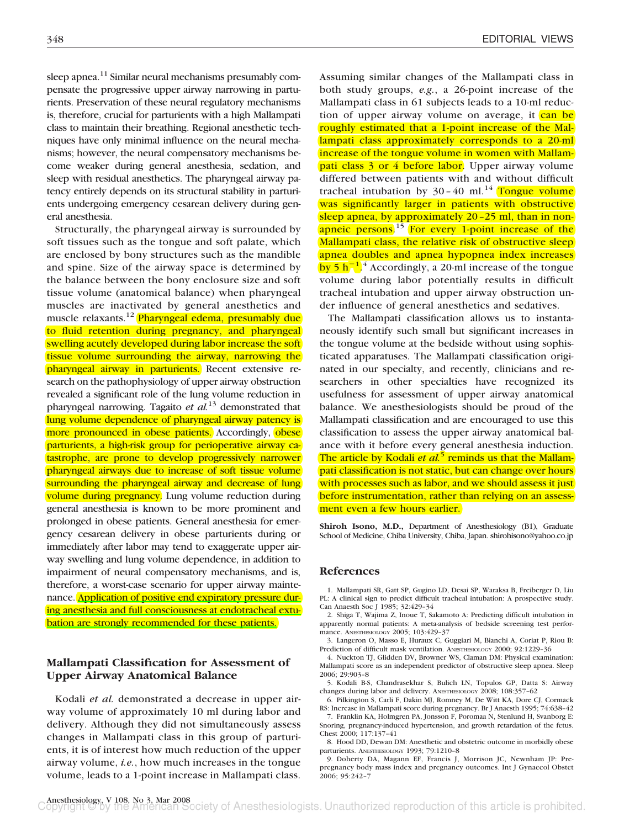sleep apnea.<sup>11</sup> Similar neural mechanisms presumably compensate the progressive upper airway narrowing in parturients. Preservation of these neural regulatory mechanisms is, therefore, crucial for parturients with a high Mallampati class to maintain their breathing. Regional anesthetic techniques have only minimal influence on the neural mechanisms; however, the neural compensatory mechanisms become weaker during general anesthesia, sedation, and sleep with residual anesthetics. The pharyngeal airway patency entirely depends on its structural stability in parturients undergoing emergency cesarean delivery during general anesthesia.

Structurally, the pharyngeal airway is surrounded by soft tissues such as the tongue and soft palate, which are enclosed by bony structures such as the mandible and spine. Size of the airway space is determined by the balance between the bony enclosure size and soft tissue volume (anatomical balance) when pharyngeal muscles are inactivated by general anesthetics and muscle relaxants.<sup>12</sup> Pharyngeal edema, presumably due to fluid retention during pregnancy, and pharyngeal swelling acutely developed during labor increase the soft tissue volume surrounding the airway, narrowing the pharyngeal airway in parturients. Recent extensive research on the pathophysiology of upper airway obstruction revealed a significant role of the lung volume reduction in pharyngeal narrowing. Tagaito *et al.*<sup>13</sup> demonstrated that lung volume dependence of pharyngeal airway patency is more pronounced in obese patients. Accordingly, obese parturients, a high-risk group for perioperative airway catastrophe, are prone to develop progressively narrower pharyngeal airways due to increase of soft tissue volume surrounding the pharyngeal airway and decrease of lung volume during pregnancy. Lung volume reduction during general anesthesia is known to be more prominent and prolonged in obese patients. General anesthesia for emergency cesarean delivery in obese parturients during or immediately after labor may tend to exaggerate upper airway swelling and lung volume dependence, in addition to impairment of neural compensatory mechanisms, and is, therefore, a worst-case scenario for upper airway maintenance. Application of positive end expiratory pressure during anesthesia and full consciousness at endotracheal extubation are strongly recommended for these patients.

#### **Mallampati Classification for Assessment of Upper Airway Anatomical Balance**

Kodali *et al.* demonstrated a decrease in upper airway volume of approximately 10 ml during labor and delivery. Although they did not simultaneously assess changes in Mallampati class in this group of parturients, it is of interest how much reduction of the upper airway volume, *i.e.*, how much increases in the tongue volume, leads to a 1-point increase in Mallampati class.

Assuming similar changes of the Mallampati class in both study groups, *e.g.*, a 26-point increase of the Mallampati class in 61 subjects leads to a 10-ml reduction of upper airway volume on average, it can be roughly estimated that a 1-point increase of the Mallampati class approximately corresponds to a 20-ml increase of the tongue volume in women with Mallampati class 3 or 4 before labor. Upper airway volume differed between patients with and without difficult tracheal intubation by  $30-40$  ml.<sup>14</sup> Tongue volume was significantly larger in patients with obstructive sleep apnea, by approximately 20–25 ml, than in nonapneic persons.<sup>15</sup> For every 1-point increase of the Mallampati class, the relative risk of obstructive sleep apnea doubles and apnea hypopnea index increases  $\frac{1}{2}$  by 5 h<sup>-1</sup><sup>4</sup> Accordingly, a 20-ml increase of the tongue volume during labor potentially results in difficult tracheal intubation and upper airway obstruction under influence of general anesthetics and sedatives.

The Mallampati classification allows us to instantaneously identify such small but significant increases in the tongue volume at the bedside without using sophisticated apparatuses. The Mallampati classification originated in our specialty, and recently, clinicians and researchers in other specialties have recognized its usefulness for assessment of upper airway anatomical balance. We anesthesiologists should be proud of the Mallampati classification and are encouraged to use this classification to assess the upper airway anatomical balance with it before every general anesthesia induction. The article by Kodali *et al.*<sup>5</sup> reminds us that the Mallampati classification is not static, but can change over hours with processes such as labor, and we should assess it just before instrumentation, rather than relying on an assessment even a few hours earlier.

**Shiroh Isono, M.D.,** Department of Anesthesiology (B1), Graduate School of Medicine, Chiba University, Chiba, Japan. shirohisono@yahoo.co.jp

#### **References**

1. Mallampati SR, Gatt SP, Gugino LD, Desai SP, Waraksa B, Freiberger D, Liu PL: A clinical sign to predict difficult tracheal intubation: A prospective study. Can Anaesth Soc J 1985; 32:429–34

2. Shiga T, Wajima Z, Inoue T, Sakamoto A: Predicting difficult intubation in apparently normal patients: A meta-analysis of bedside screening test performance. ANESTHESIOLOGY 2005; 103:429–37

3. Langeron O, Masso E, Huraux C, Guggiari M, Bianchi A, Coriat P, Riou B: Prediction of difficult mask ventilation. ANESTHESIOLOGY 2000; 92:1229–36

4. Nuckton TJ, Glidden DV, Browner WS, Claman DM: Physical examination: Mallampati score as an independent predictor of obstructive sleep apnea. Sleep 2006; 29:903–8

5. Kodali B-S, Chandrasekhar S, Bulich LN, Topulos GP, Datta S: Airway changes during labor and delivery. ANESTHESIOLOGY 2008; 108:357–62

6. Pilkington S, Carli F, Dakin MJ, Romney M, De Witt KA, Dore CJ, Cormack RS: Increase in Mallampati score during pregnancy. Br J Anaesth 1995; 74:638–42

7. Franklin KA, Holmgren PA, Jonsson F, Poromaa N, Stenlund H, Svanborg E: Snoring, pregnancy-induced hypertension, and growth retardation of the fetus. Chest 2000; 117:137–41

8. Hood DD, Dewan DM: Anesthetic and obstetric outcome in morbidly obese parturients. ANESTHESIOLOGY 1993; 79:1210–8

9. Doherty DA, Magann EF, Francis J, Morrison JC, Newnham JP: Prepregnancy body mass index and pregnancy outcomes. Int J Gynaecol Obstet 2006; 95:242–7